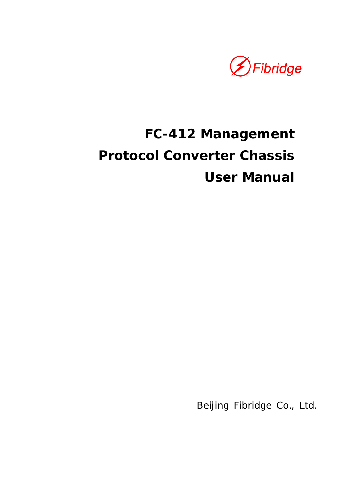

# **FC-412 Management Protocol Converter Chassis User Manual**

Beijing Fibridge Co., Ltd.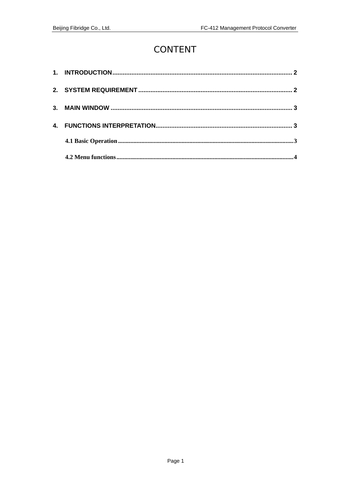# **CONTENT**

| $\mathbf{A}$ |  |
|--------------|--|
|              |  |
|              |  |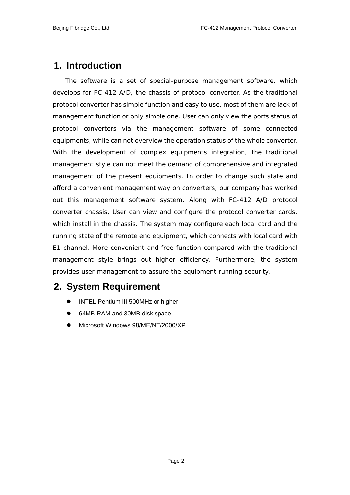## **1. Introduction**

The software is a set of special-purpose management software, which develops for FC-412 A/D, the chassis of protocol converter. As the traditional protocol converter has simple function and easy to use, most of them are lack of management function or only simple one. User can only view the ports status of protocol converters via the management software of some connected equipments, while can not overview the operation status of the whole converter. With the development of complex equipments integration, the traditional management style can not meet the demand of comprehensive and integrated management of the present equipments. In order to change such state and afford a convenient management way on converters, our company has worked out this management software system. Along with FC-412 A/D protocol converter chassis, User can view and configure the protocol converter cards, which install in the chassis. The system may configure each local card and the running state of the remote end equipment, which connects with local card with E1 channel. More convenient and free function compared with the traditional management style brings out higher efficiency. Furthermore, the system provides user management to assure the equipment running security.

## **2. System Requirement**

- INTEL Pentium III 500MHz or higher
- 64MB RAM and 30MB disk space
- Microsoft Windows 98/ME/NT/2000/XP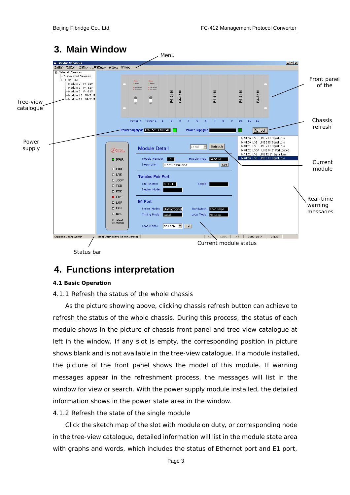# **3. Main Window**



## **4. Functions interpretation**

#### **4.1 Basic Operation**

4.1.1 Refresh the status of the whole chassis

As the picture showing above, clicking chassis refresh button can achieve to refresh the status of the whole chassis. During this process, the status of each module shows in the picture of chassis front panel and tree-view catalogue at left in the window. If any slot is empty, the corresponding position in picture shows blank and is not available in the tree-view catalogue. If a module installed, the picture of the front panel shows the model of this module. If warning messages appear in the refreshment process, the messages will list in the window for view or search. With the power supply module installed, the detailed information shows in the power state area in the window.

4.1.2 Refresh the state of the single module

Click the sketch map of the slot with module on duty, or corresponding node in the tree-view catalogue, detailed information will list in the module state area with graphs and words, which includes the status of Ethernet port and E1 port,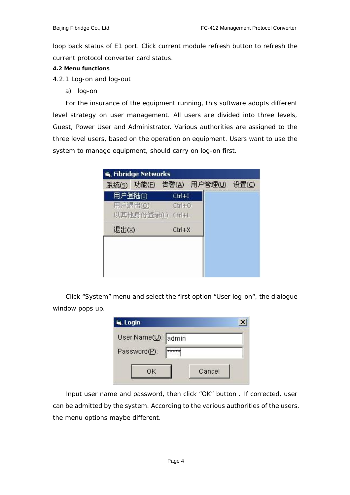loop back status of E1 port. Click current module refresh button to refresh the current protocol converter card status.

#### **4.2 Menu functions**

- 4.2.1 Log-on and log-out
	- a) log-on

For the insurance of the equipment running, this software adopts different level strategy on user management. All users are divided into three levels, Guest, Power User and Administrator. Various authorities are assigned to the three level users, based on the operation on equipment. Users want to use the system to manage equipment, should carry on log-on first.

| <b>G. Fibridge Networks</b> |            |       |
|-----------------------------|------------|-------|
| 系统(5) 功能(E) 告警(A) 用户管理(U)   |            | 设置(⊆) |
| 用户登陆(1)                     | Ctrl+I     |       |
| 用户退出(Q)                     | $Ctrl + O$ |       |
| 以其他身份登录(L) Ctrl+L           |            |       |
| 退出(3)                       | Ctrl+X     |       |
|                             |            |       |
|                             |            |       |
|                             |            |       |
|                             |            |       |

Click "System" menu and select the first option "User log-on", the dialogue window pops up.

| is, Login            |        |
|----------------------|--------|
| User Name(U): admin  |        |
| Password(P):<br>**** |        |
|                      | Cancel |

Input user name and password, then click "OK" button . If corrected, user can be admitted by the system. According to the various authorities of the users, the menu options maybe different.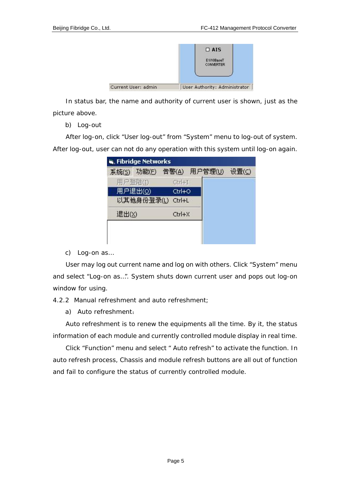

In status bar, the name and authority of current user is shown, just as the picture above.

b) Log-out

After log-on, click "User log-out" from "System" menu to log-out of system. After log-out, user can not do any operation with this system until log-on again.

| 用户登陆(I)<br>用户退出(0)<br>退出(X) | <b>E. Fibridge Networks</b> | $CtrI+I$<br>Ctrl+O<br>以其他身份登录(L) Ctrl+L<br>Ctrl+X | 系统(S) 功能(E) 告警(A) 用户管理(U) 设置(C) |
|-----------------------------|-----------------------------|---------------------------------------------------|---------------------------------|

c) Log-on as…

User may log out current name and log on with others. Click "System" menu and select "Log-on as…". System shuts down current user and pops out log-on window for using.

4.2.2 Manual refreshment and auto refreshment;

a) Auto refreshment:

Auto refreshment is to renew the equipments all the time. By it, the status information of each module and currently controlled module display in real time.

Click "Function" menu and select " Auto refresh" to activate the function. In auto refresh process, Chassis and module refresh buttons are all out of function and fail to configure the status of currently controlled module.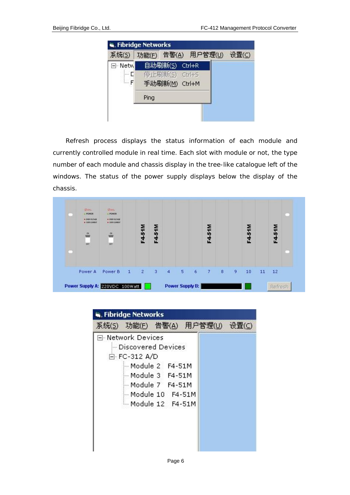

Refresh process displays the status information of each module and currently controlled module in real time. Each slot with module or not, the type number of each module and chassis display in the tree-like catalogue left of the windows. The status of the power supply displays below the display of the chassis.



| <b>E</b> Fibridge Networks |                  |                                 |  |
|----------------------------|------------------|---------------------------------|--|
|                            |                  | 系统(5) 功能(E) 告警(A) 用户管理(U) 设置(C) |  |
| 日 Network Devices          |                  |                                 |  |
| Discovered Devices         |                  |                                 |  |
| 白·FC-312 A/D               |                  |                                 |  |
|                            | Module 2 F4-51M  |                                 |  |
|                            | Module 3 F4-51M  |                                 |  |
|                            | Module 7 F4-51M  |                                 |  |
|                            | Module 10 F4-51M |                                 |  |
| - Module 12 F4-51M         |                  |                                 |  |
|                            |                  |                                 |  |
|                            |                  |                                 |  |
|                            |                  |                                 |  |
|                            |                  |                                 |  |
|                            |                  |                                 |  |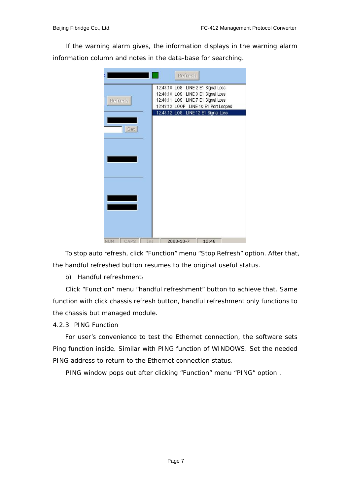If the warning alarm gives, the information displays in the warning alarm information column and notes in the data-base for searching.

|                           | Refresh                                                                                                                                                |
|---------------------------|--------------------------------------------------------------------------------------------------------------------------------------------------------|
| Refresh                   | 12:48:10 LOS LINE 2 E1 Signal Loss<br>12:48:10 LOS LINE 3 E1 Signal Loss<br>12:48:11 LOS LINE 7 E1 Signal Loss<br>12:48:12 LOOP LINE 10 E1 Port Looped |
| Set                       | 12:48:12 LOS LINE 12 E1 Signal Loss                                                                                                                    |
|                           |                                                                                                                                                        |
|                           |                                                                                                                                                        |
|                           |                                                                                                                                                        |
| <b>NUM</b><br>CAPS<br>Ins | 2003-10-7<br>12:48                                                                                                                                     |

To stop auto refresh, click "Function" menu "Stop Refresh" option. After that, the handful refreshed button resumes to the original useful status.

b) Handful refreshment:

Click "Function" menu "handful refreshment" button to achieve that. Same function with click chassis refresh button, handful refreshment only functions to the chassis but managed module.

4.2.3 PING Function

For user's convenience to test the Ethernet connection, the software sets Ping function inside. Similar with PING function of WINDOWS. Set the needed PING address to return to the Ethernet connection status.

PING window pops out after clicking "Function" menu "PING" option .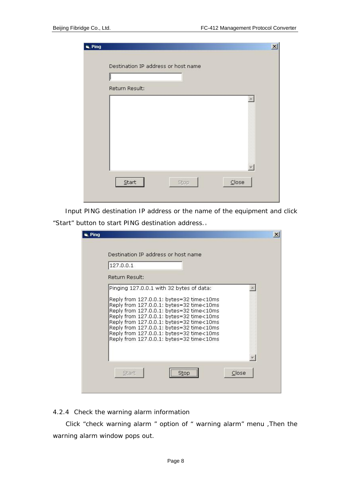Input PING destination IP address or the name of the equipment and click "Start" button to start PING destination address.。

| Destination IP address or host name                                                                                                                                                                                                                                                                                                                          |       |
|--------------------------------------------------------------------------------------------------------------------------------------------------------------------------------------------------------------------------------------------------------------------------------------------------------------------------------------------------------------|-------|
| 127.0.0.1                                                                                                                                                                                                                                                                                                                                                    |       |
| <b>Return Result:</b>                                                                                                                                                                                                                                                                                                                                        |       |
| Pinging 127.0.0.1 with 32 bytes of data:                                                                                                                                                                                                                                                                                                                     |       |
| Reply from 127.0.0.1: bytes=32 time<10ms<br>Reply from 127.0.0.1: bytes=32 time<10ms<br>Reply from 127.0.0.1: bytes=32 time<10ms<br>Reply from 127.0.0.1: bytes=32 time<10ms<br>Reply from 127.0.0.1: bytes=32 time<10ms<br>Reply from 127.0.0.1: bytes=32 time<10ms<br>Reply from 127.0.0.1: bytes=32 time<10ms<br>Reply from 127.0.0.1: bytes=32 time<10ms |       |
|                                                                                                                                                                                                                                                                                                                                                              |       |
| Start<br>Stop                                                                                                                                                                                                                                                                                                                                                | Close |

4.2.4 Check the warning alarm information

Click "check warning alarm " option of " warning alarm" menu ,Then the warning alarm window pops out.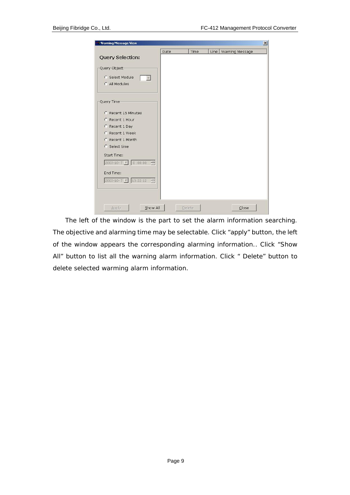| <b>Warning Message View</b>                                                                                                                                                                                                                                                     |        |      |                        | $\vert x \vert$ |
|---------------------------------------------------------------------------------------------------------------------------------------------------------------------------------------------------------------------------------------------------------------------------------|--------|------|------------------------|-----------------|
| Query Selection:                                                                                                                                                                                                                                                                | Date   | Time | Line   Warning Message |                 |
| Query Object<br>C Select Module<br>C All Modules                                                                                                                                                                                                                                |        |      |                        |                 |
| Query Time<br>C Recent 15 Minutes<br>C Recent 1 Hour<br>C Recent 1 Day<br>C Recent 1 Week<br>C Recent 1 Month<br>C Select time<br>Start Time:<br>$2003 - 10 - 7$ $\rightarrow$ 0:00:00<br>$\div$<br>End Time:<br>$2003 - 10 - 7$ $\rightarrow$ 13:22:12<br>$\frac{1}{\sqrt{2}}$ |        |      |                        |                 |
| Apply<br>Show All                                                                                                                                                                                                                                                               | Delete |      | Close                  |                 |

The left of the window is the part to set the alarm information searching. The objective and alarming time may be selectable. Click "apply" button, the left of the window appears the corresponding alarming information.. Click "Show All" button to list all the warning alarm information. Click " Delete" button to delete selected warming alarm information.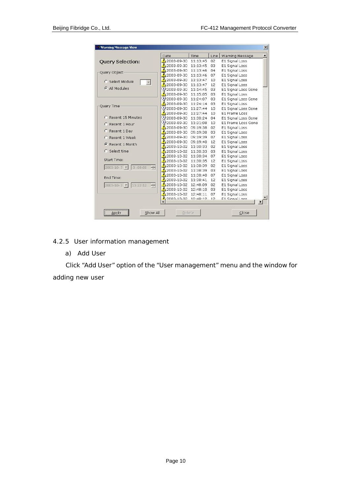|                                                            | Date                  | Time     | Line | <b>Warning Message</b> |
|------------------------------------------------------------|-----------------------|----------|------|------------------------|
| <b>Query Selection:</b>                                    | $\Lambda$ 2003-09-30  | 11:13:45 | 02   | E1 Signal Loss         |
|                                                            | 2003-09-30            | 11:13:45 | 03   | E1 Signal Loss         |
| Query Object                                               | 2003-09-30            | 11:13:46 | 04   | E1 Signal Loss         |
|                                                            | 2003-09-30            | 11:13:46 | 07   | E1 Signal Loss         |
| C Select Module                                            | 2003-09-30            | 11:13:47 | 10   | E1 Signal Loss         |
|                                                            | 2003-09-30            | 11:13:47 | 12   | E1 Signal Loss         |
| G All Modules                                              | $\ddot{ }$ 2003-09-30 | 11:14:45 | 03   | E1 Signal Loss Gone    |
|                                                            | 2003-09-30            | 11:15:05 | 03   | E1 Signal Loss         |
|                                                            | $\ddot{ }$ 2003-09-30 | 11:24:07 | 03   | E1 Signal Loss Gone    |
| Query Time                                                 | 2003-09-30            | 11:24:14 | 03   | E1 Signal Loss         |
|                                                            | $\bullet$ 2003-09-30  | 11:27:44 | 10   | E1 Signal Loss Gone    |
|                                                            | 2003-09-30            | 11:27:44 | 10   | E1 Frame Loss          |
| C. Recent 15 Minutes                                       | $\ddot{ }$ 2003-09-30 | 11:30:24 | 04   | E1 Signal Loss Gone    |
| C Recent 1 Hour                                            | $\ddot{ }$ 2003-09-30 | 11:31:08 | 10   | E1 Frame Loss Gone     |
| C Recent 1 Day                                             | 2003-09-30            | 09:19:38 | 02   | E1 Signal Loss         |
|                                                            | 2003-09-30            | 09:19:38 | 03   | E1 Signal Loss         |
| Recent 1 Week<br>C.                                        | 2003-09-30            | 09:19:39 | 07   | E1 Signal Loss         |
| Recent 1 Month                                             | 2003-09-30            | 09:19:40 | 12   | E1 Signal Loss         |
|                                                            | 2003-10-02            | 11:30:33 | 02   | E1 Signal Loss         |
| Select time<br>C.                                          | 2003-10-02            | 11:30:33 | 03   | E1 Signal Loss         |
| Start Time:                                                | 2003-10-02            | 11:30:34 | 07   | E1 Signal Loss         |
|                                                            | 2003-10-02            | 11:30:35 | 12   | E1 Signal Loss         |
| $2003 - 10 - 7$ $\blacktriangledown$<br>0:00:00            | 2003-10-02            | 11:38:39 | 02   | E1 Signal Loss         |
|                                                            | 2003-10-02            | 11:38:39 | 03   | E1 Signal Loss         |
| End Time:                                                  | 2003-10-02            | 11:38:40 | 07   | E1 Signal Loss         |
|                                                            | 2003-10-02            | 11:38:41 | 12   | E1 Signal Loss         |
| 13:22:12<br>$2003 - 10 - 7$ $\blacktriangledown$<br>$\div$ | 2003-10-02            | 12:48:09 | 02   | E1 Signal Loss         |
|                                                            | 2003-10-02            | 12:48:10 | 03   | E1 Signal Loss         |
|                                                            | 2003-10-02            | 12:48:11 | 07   | E1 Signal Loss         |
|                                                            | 2003-10-02            | 12.48.12 | 12   | E1 Sinnal Loss         |

- 4.2.5 User information management
	- a) Add User

Click "Add User" option of the "User management" menu and the window for adding new user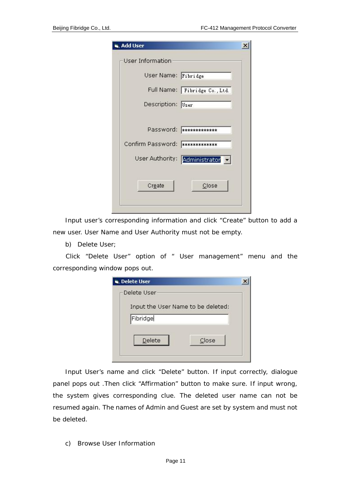| User Name: Fibridge             |                                        |
|---------------------------------|----------------------------------------|
|                                 |                                        |
|                                 | Full Name: Fibridge Co., Ltd.          |
| Description: User               |                                        |
|                                 | Password: *************                |
| Confirm Password: ************* |                                        |
|                                 | User Authority: <b>Administrator</b> - |
| Create                          | Close                                  |

Input user's corresponding information and click "Create" button to add a new user. User Name and User Authority must not be empty.

b) Delete User;

Click "Delete User" option of " User management" menu and the corresponding window pops out.

| <b>G</b> Delete User               |       |
|------------------------------------|-------|
| Delete User-                       |       |
| Input the User Name to be deleted: |       |
| Fibridge                           |       |
|                                    |       |
| Delete                             | Close |
|                                    |       |

Input User's name and click "Delete" button. If input correctly, dialogue panel pops out .Then click "Affirmation" button to make sure. If input wrong, the system gives corresponding clue. The deleted user name can not be resumed again. The names of Admin and Guest are set by system and must not be deleted.

c) Browse User Information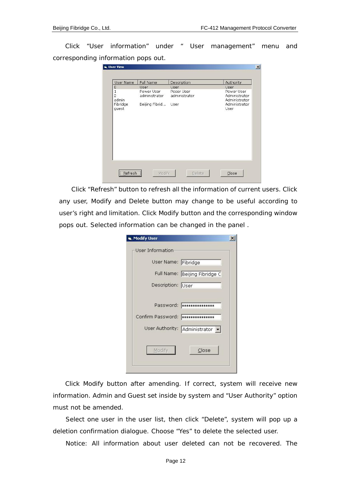Click "User information" under " User management" menu and corresponding information pops out.

| User Name                                                    | Full Name                                     | Description                         | Authority                                                             |
|--------------------------------------------------------------|-----------------------------------------------|-------------------------------------|-----------------------------------------------------------------------|
| 0                                                            | <b>User</b>                                   | User                                | User                                                                  |
| $\mathbf{1}$<br>$\overline{c}$<br>admin<br>Fibridge<br>guest | Power User<br>administrator<br>Beijing Fibrid | Poser User<br>administrator<br>User | Power User<br>Administrator<br>Administrator<br>Administrator<br>User |
|                                                              |                                               |                                     |                                                                       |

Click "Refresh" button to refresh all the information of current users. Click any user, Modify and Delete button may change to be useful according to user's right and limitation. Click Modify button and the corresponding window pops out. Selected information can be changed in the panel .

| User Name: Fibridge               |                                 |
|-----------------------------------|---------------------------------|
|                                   | Full Name: Beijing Fibridge C   |
| Description: User                 |                                 |
|                                   | Password: ***************       |
| Confirm Password: *************** |                                 |
|                                   | User Authority: Administrator v |
| Modify                            | Close                           |

Click Modify button after amending. If correct, system will receive new information. Admin and Guest set inside by system and "User Authority" option must not be amended.

Select one user in the user list, then click "Delete", system will pop up a deletion confirmation dialogue. Choose "Yes" to delete the selected user.

Notice: All information about user deleted can not be recovered. The